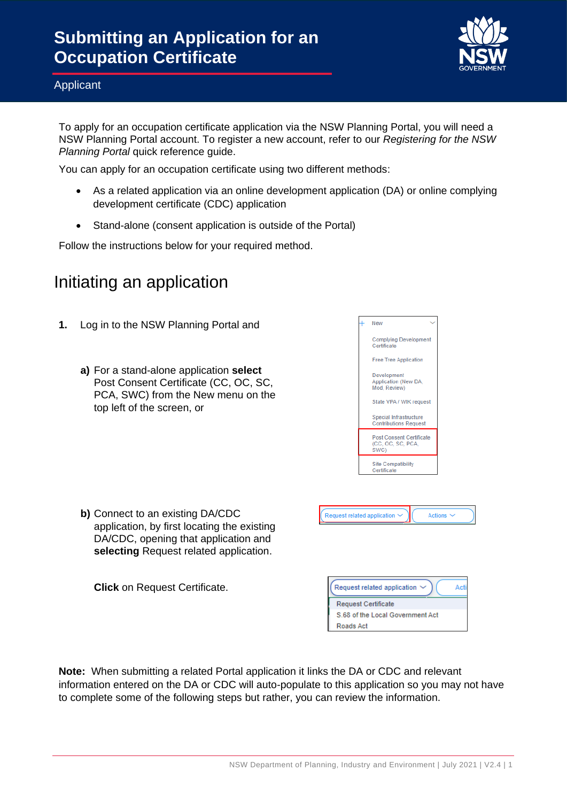

To apply for an occupation certificate application via the NSW Planning Portal, you will need a NSW Planning Portal account. To register a new account, refer to our *Registering for the NSW*  **Planning Portal quick reference guide.** 

You can apply for an occupation certificate using two different methods:

- As a related application via an online development application (DA) or online complying development certificate (CDC) application
- Stand-alone (consent application is outside of the Portal)

Follow the instructions below for your required method.

## Initiating an application

- **1.** Log in to the NSW Planning Portal and
	- **a)** For a stand-alone application **select** Post Consent Certificate (CC, OC, SC, PCA, SWC) from the New menu on the top left of the screen, or



**b)** Connect to an existing DA/CDC application, by first locating the existing DA/CDC, opening that application and **selecting** Request related application.

**Click** on Request Certificate.

| Request related application $\vee$ |  |
|------------------------------------|--|
| <b>Request Certificate</b>         |  |
| S.68 of the Local Government Act   |  |
| Roads Act                          |  |

Actions  $\sim$ 

Request related application ~

**Note:** When submitting a related Portal application it links the DA or CDC and relevant information entered on the DA or CDC will auto-populate to this application so you may not have to complete some of the following steps but rather, you can review the information.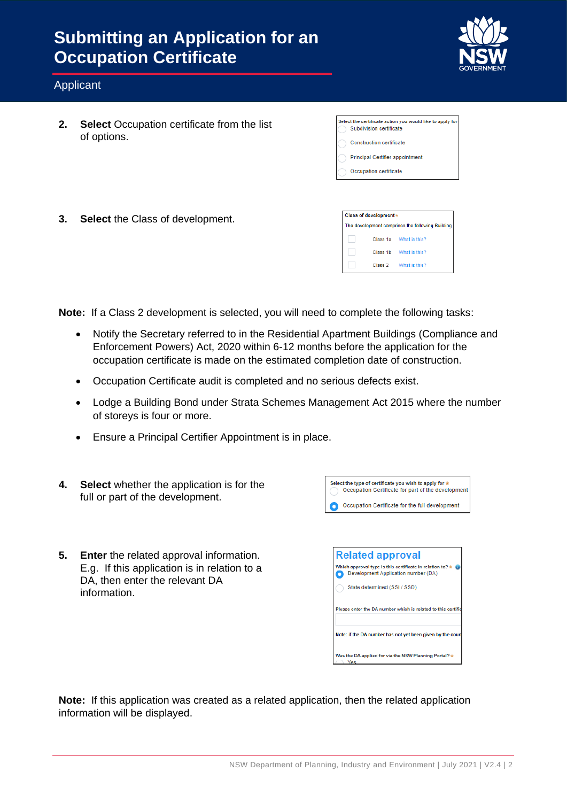

### Applicant

**2. Select** Occupation certificate from the list of options.

| Select the certificate action you would like to apply fo<br>Subdivision certificate |
|-------------------------------------------------------------------------------------|
| <b>Construction certificate</b>                                                     |
| <b>Principal Certifier appointment</b>                                              |
| Occupation certificate                                                              |

**3. Select** the Class of development.

| Class of development *                             |         |                        |
|----------------------------------------------------|---------|------------------------|
| The development comprises the following Building ( |         |                        |
|                                                    |         | Class 1a What is this? |
|                                                    |         | Class 1b What is this? |
|                                                    | Class 2 | What is this?          |

**Note:** If a Class 2 development is selected, you will need to complete the following tasks:

- Notify the Secretary referred to in the Residential Apartment Buildings (Compliance and Enforcement Powers) Act, 2020 within 6-12 months before the application for the occupation certificate is made on the estimated completion date of construction.
- Occupation Certificate audit is completed and no serious defects exist.
- Lodge a Building Bond under Strata Schemes Management Act 2015 where the number of storeys is four or more.
- Ensure a Principal Certifier Appointment is in place.
- Select the type of certificate you wish to apply for \*<br>
Occupation Certificate for part of the development **4. Select** whether the application is for the full or part of the development. Occupation Certificate for the full development **5. Enter** the related approval information. **Related approval** Which approval type is this certificate in relation to?  $\star$  0<br>Development Application number (DA) E.g. If this application is in relation to a DA, then enter the relevant DA State determined (SSL/SSD) information. Please enter the DA number which is related to this certifi Note: if the DA number has not yet been given by the cou Was the DA applied for via the NSW Planning Portal?  $\star$

**Note:** If this application was created as a related application, then the related application information will be displayed.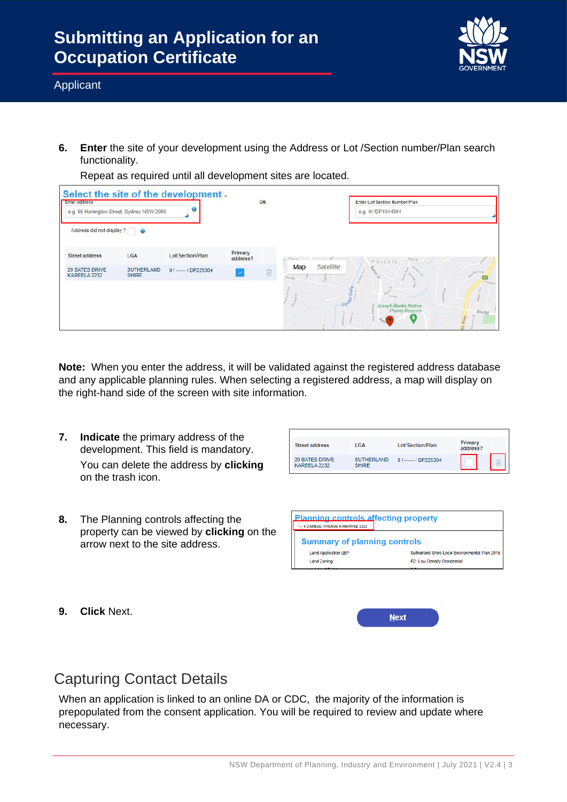

**6. Enter** the site of your development using the Address or Lot /Section number/Plan search functionality.

Select the site of the development. Enter addres OR Enter Lot/Section Number/Plan e.g. 66 Harrington Street, Sydney NSW 2000 e.g. 4/-/DP1044304 Address did not display ? Primary<br>address? **IGA** Street address Lot/Section/Plan Map Satellite 20 BATES DRIVE<br>KAREELA 2232 SUTHERLAND 9 / -- / DP225304  $\frac{1}{2}$ 

Repeat as required until all development sites are located.

**Note:** When you enter the address, it will be validated against the registered address database and any applicable planning rules. When selecting a registered address, a map will display on the right-hand side of the screen with site information.

**7. Indicate** the primary address of the development. This field is mandatory. You can delete the address by **clicking** on the trash icon.

| <b>Street address</b>          | LGA                               | Lot/Section/Plan | Primary<br>address? |  |
|--------------------------------|-----------------------------------|------------------|---------------------|--|
| 20 BATES DRIVE<br>KAREELA 2232 | <b>SUTHERLAND</b><br><b>SHIRE</b> | $91$ /DP225304   |                     |  |

**8.** The Planning controls affecting the property can be viewed by **clicking** on the arrow next to the site address.

| <b>Planning controls affecting property</b><br>4 DAMEELI AVENUE KIRRAWEE 2232 |                                                |  |  |  |
|-------------------------------------------------------------------------------|------------------------------------------------|--|--|--|
| <b>Summary of planning controls</b>                                           |                                                |  |  |  |
| <b>Land Application LEP</b>                                                   | Sutherland Shire Local Environmental Plan 2015 |  |  |  |
| <b>Land Zoning</b>                                                            | R2: Low Density Residential                    |  |  |  |
|                                                                               | . .                                            |  |  |  |

**9. Click** Next.

|      | $\sim$ |
|------|--------|
| Next |        |

### Capturing Contact Details

When an application is linked to an online DA or CDC, the majority of the information is prepopulated from the consent application. You will be required to review and update where necessary.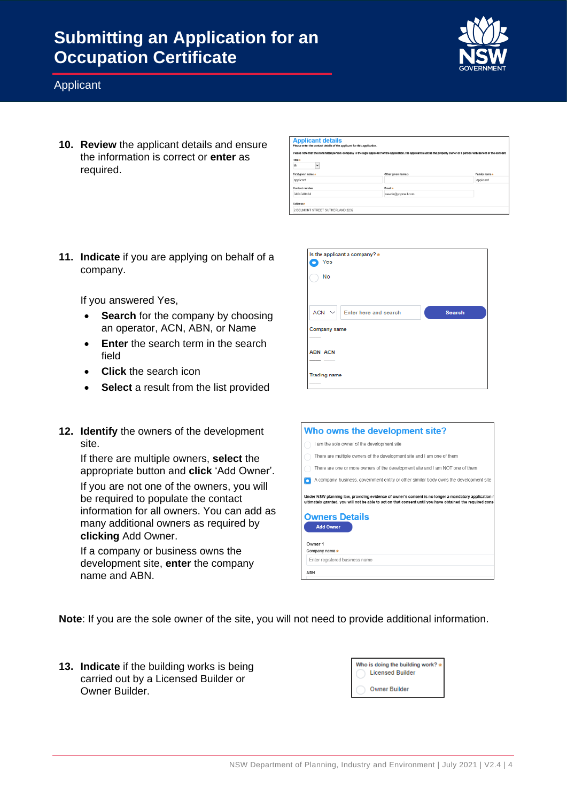

### Applicant

**10. Review** the applicant details and ensure the information is correct or **enter** as required.

| <b>Applicant details</b><br>Please enter the contact details of the applicant for this application. |                                                                                                                                                                             |               |
|-----------------------------------------------------------------------------------------------------|-----------------------------------------------------------------------------------------------------------------------------------------------------------------------------|---------------|
|                                                                                                     | Please note that the nominated person/ company is the legal applicant for the application. The applicant must be the property owner or a person with benefit of the consent |               |
| Title +                                                                                             |                                                                                                                                                                             |               |
| $\checkmark$<br>Mr                                                                                  |                                                                                                                                                                             |               |
| First given name *                                                                                  | Other given name/s                                                                                                                                                          | Family name * |
| applicant                                                                                           |                                                                                                                                                                             | applicant     |
| Contact number                                                                                      | Email +                                                                                                                                                                     |               |
| 0404040404                                                                                          | newda@vopmail.com                                                                                                                                                           |               |
| Addresse                                                                                            |                                                                                                                                                                             |               |
| 2 BELMONT STREET SUTHERLAND 2232                                                                    |                                                                                                                                                                             |               |

**11. Indicate** if you are applying on behalf of a company.

If you answered Yes,

- **Search** for the company by choosing an operator, ACN, ABN, or Name
- **Enter** the search term in the search field
- **Click** the search icon
- **Select** a result from the list provided
- **12. Identify** the owners of the development site.

If there are multiple owners, **select** the appropriate button and **click** 'Add Owner'. If you are not one of the owners, you will be required to populate the contact information for all owners. You can add as many additional owners as required by **clicking** Add Owner.

If a company or business owns the development site, **enter** the company name and ABN.

| Is the applicant a company? *<br>Yes<br>No       |               |
|--------------------------------------------------|---------------|
| $ACN \vee$ Enter here and search<br>Company name | <b>Search</b> |
| <b>ABN ACN</b><br><b>Trading name</b>            |               |

| Who owns the development site?                                                                                                                                                                                                                                                            |
|-------------------------------------------------------------------------------------------------------------------------------------------------------------------------------------------------------------------------------------------------------------------------------------------|
| I am the sole owner of the development site                                                                                                                                                                                                                                               |
| There are multiple owners of the development site and I am one of them                                                                                                                                                                                                                    |
| There are one or more owners of the development site and I am NOT one of them                                                                                                                                                                                                             |
| A company, business, government entity or other similar body owns the development site                                                                                                                                                                                                    |
| Under NSW planning law, providing evidence of owner's consent is no longer a mandatory application<br>ultimately granted, you will not be able to act on that consent until you have obtained the required cons<br><b>Owners Details</b><br><b>Add Owner</b><br>Owner 1<br>Company name * |
| Enter registered business name                                                                                                                                                                                                                                                            |
| <b>ABN</b>                                                                                                                                                                                                                                                                                |

**Note**: If you are the sole owner of the site, you will not need to provide additional information.

**13. Indicate** if the building works is being carried out by a Licensed Builder or Owner Builder.

| Who is doing the building work?<br><b>Licensed Builder</b> |
|------------------------------------------------------------|
| <b>Owner Builder</b>                                       |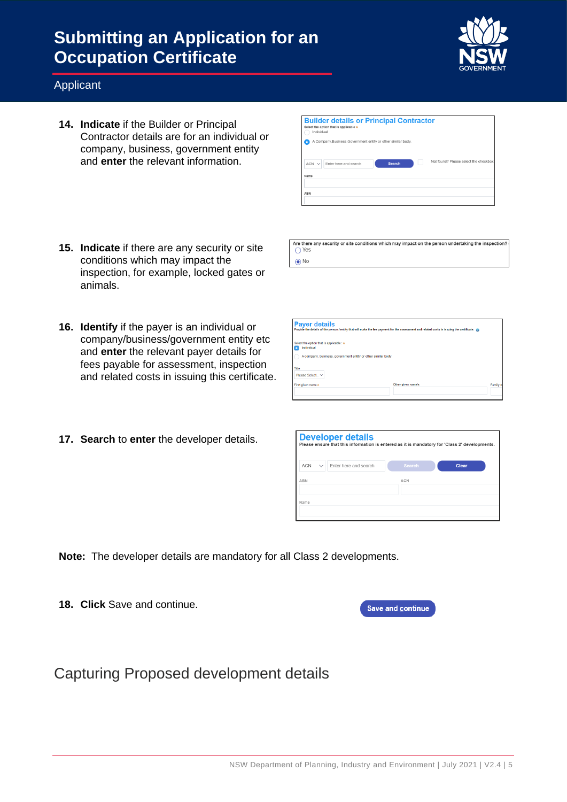

### Applicant

- **14. Indicate** if the Builder or Principal Contractor details are for an individual or company, business, government entity and **enter** the relevant information.
- **Builder details or Principal Contractor** A Company, Business, Government entity or other similar  $ACN \vee$  Enter here and search

.<br>Are there any security or site conditions which may impact on the person undertaking the inspection?

 $\bigcirc$  Yes  $\odot$  No

- **15. Indicate** if there are any security or site conditions which may impact the inspection, for example, locked gates or animals.
- **16. Identify** if the payer is an individual or company/business/government entity etc and **enter** the relevant payer details for fees payable for assessment, inspection and related costs in issuing this certificate.
- **17. Search** to **enter** the developer details.

| <b>Payer details</b><br>Provide the details of the person / entity that will make the fee payment for the assessment and related costs in issuing the certificate: |                    |          |
|--------------------------------------------------------------------------------------------------------------------------------------------------------------------|--------------------|----------|
| Select the option that is applicable : *<br>Individual                                                                                                             |                    |          |
| A company, business, government entity or other similar body                                                                                                       |                    |          |
| Title<br>Please Select V                                                                                                                                           |                    |          |
| First given name *                                                                                                                                                 | Other given name/s | Family n |
|                                                                                                                                                                    |                    |          |

| <b>Developer details</b><br>Please ensure that this information is entered as it is mandatory for 'Class 2' developments. |                       |               |       |  |
|---------------------------------------------------------------------------------------------------------------------------|-----------------------|---------------|-------|--|
| <b>ACN</b><br>$\checkmark$                                                                                                | Enter here and search | <b>Search</b> | Clear |  |
| ABN                                                                                                                       |                       | ACN           |       |  |
| Name                                                                                                                      |                       |               |       |  |

**Note:** The developer details are mandatory for all Class 2 developments.

**18. Click** Save and continue.

Save and continue

Capturing Proposed development details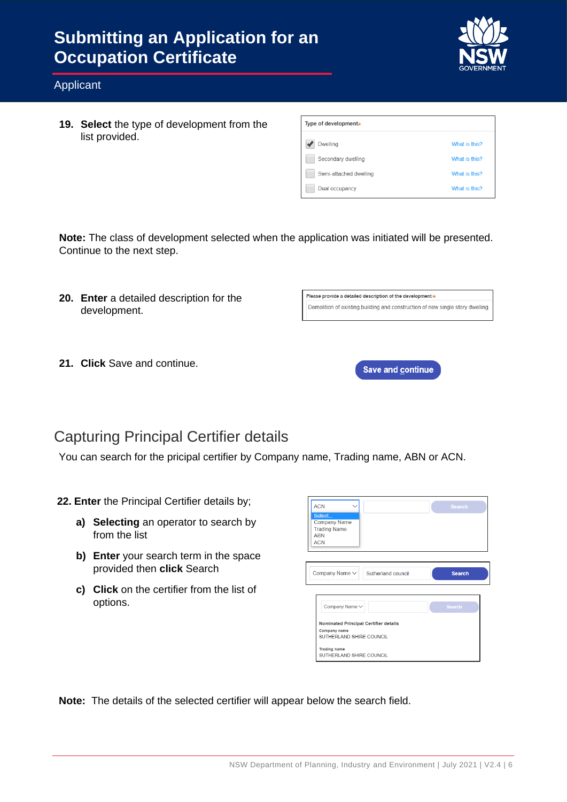

#### Applicant

**19. Select** the type of development from the list provided.

| Type of development <sub>*</sub> |               |
|----------------------------------|---------------|
| Dwelling                         | What is this? |
| Secondary dwelling               | What is this? |
| Semi-attached dwelling           | What is this? |
| Dual occupancy                   | What is this? |

**Note:** The class of development selected when the application was initiated will be presented. Continue to the next step.

**20. Enter** a detailed description for the development.

| Please provide a detailed description of the development ★ |                                                                                |  |
|------------------------------------------------------------|--------------------------------------------------------------------------------|--|
|                                                            | Demolition of existing building and construction of new single story dwelling. |  |
|                                                            |                                                                                |  |

**21. Click** Save and continue.



### Capturing Principal Certifier details

You can search for the pricipal certifier by Company name, Trading name, ABN or ACN.

**22. Enter** the Principal Certifier details by;

- **a) Selecting** an operator to search by from the list
- **b) Enter** your search term in the space provided then **click** Search
- **c) Click** on the certifier from the list of options.

| <b>ACN</b><br>Select<br><b>Company Name</b><br><b>Trading Name</b><br><b>ABN</b><br><b>ACN</b> | <b>Search</b> |
|------------------------------------------------------------------------------------------------|---------------|
| Company Name $\vee$<br>Sutherland council                                                      | <b>Search</b> |
| Company Name V                                                                                 | <b>Search</b> |
| Nominated Principal Certifier details<br>Company name<br>SUTHERLAND SHIRE COUNCIL              |               |
| Trading name<br>SUTHERLAND SHIRE COUNCIL                                                       |               |

**Note:** The details of the selected certifier will appear below the search field.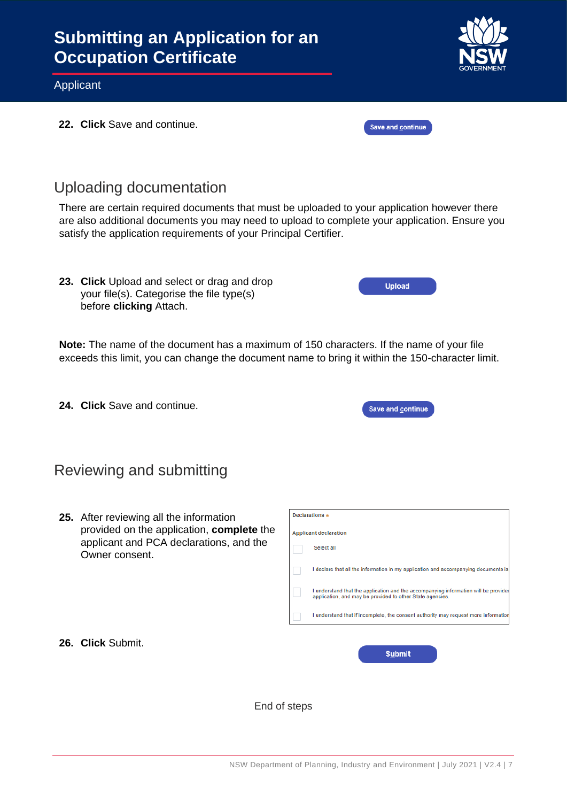

**22. Click** Save and continue.

### Uploading documentation

There are certain required documents that must be uploaded to your application however there are also additional documents you may need to upload to complete your application. Ensure you satisfy the application requirements of your Principal Certifier.

**23. Click** Upload and select or drag and drop your file(s). Categorise the file type(s) before **clicking** Attach.

**Note:** The name of the document has a maximum of 150 characters. If the name of your file exceeds this limit, you can change the document name to bring it within the 150-character limit.

**24. Click** Save and continue.

| <b>Save and continue</b> |  |
|--------------------------|--|
|                          |  |

**Upload** 

Save and continue

### Reviewing and submitting

**26. Click** Submit.

**25.** After reviewing all the information provided on the application, **complete** the applicant and PCA declarations, and the Owner consent.

| Declarations $\ast$          |                                                                                                                                                  |  |  |
|------------------------------|--------------------------------------------------------------------------------------------------------------------------------------------------|--|--|
| <b>Applicant declaration</b> |                                                                                                                                                  |  |  |
|                              | Select all                                                                                                                                       |  |  |
|                              | I declare that all the information in my application and accompanying documents is                                                               |  |  |
|                              | I understand that the application and the accompanying information will be provided<br>application, and may be provided to other State agencies. |  |  |
|                              | I understand that if incomplete, the consent authority may request more information                                                              |  |  |
|                              |                                                                                                                                                  |  |  |
|                              | Suhmit                                                                                                                                           |  |  |

End of steps